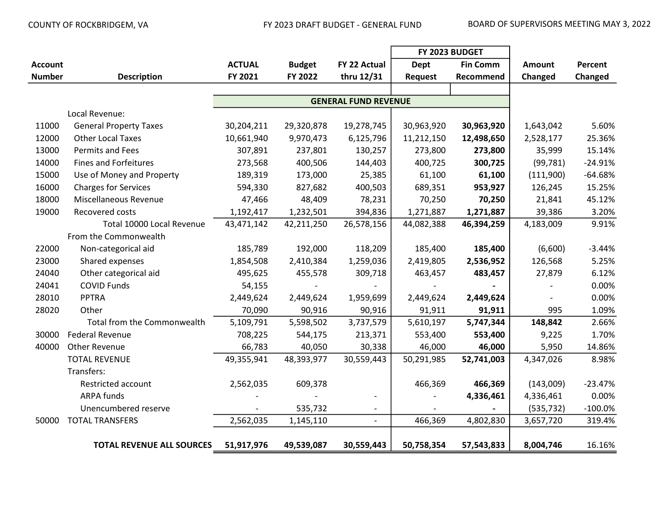|                |                                  |               |               |                          | FY 2023 BUDGET |                 |               |            |
|----------------|----------------------------------|---------------|---------------|--------------------------|----------------|-----------------|---------------|------------|
| <b>Account</b> |                                  | <b>ACTUAL</b> | <b>Budget</b> | FY 22 Actual             | <b>Dept</b>    | <b>Fin Comm</b> | <b>Amount</b> | Percent    |
| <b>Number</b>  | <b>Description</b>               | FY 2021       | FY 2022       | thru 12/31               | <b>Request</b> | Recommend       | Changed       | Changed    |
|                |                                  |               |               |                          |                |                 |               |            |
|                |                                  |               |               |                          |                |                 |               |            |
|                | Local Revenue:                   |               |               |                          |                |                 |               |            |
| 11000          | <b>General Property Taxes</b>    | 30,204,211    | 29,320,878    | 19,278,745               | 30,963,920     | 30,963,920      | 1,643,042     | 5.60%      |
| 12000          | <b>Other Local Taxes</b>         | 10,661,940    | 9,970,473     | 6,125,796                | 11,212,150     | 12,498,650      | 2,528,177     | 25.36%     |
| 13000          | Permits and Fees                 | 307,891       | 237,801       | 130,257                  | 273,800        | 273,800         | 35,999        | 15.14%     |
| 14000          | <b>Fines and Forfeitures</b>     | 273,568       | 400,506       | 144,403                  | 400,725        | 300,725         | (99, 781)     | $-24.91%$  |
| 15000          | Use of Money and Property        | 189,319       | 173,000       | 25,385                   | 61,100         | 61,100          | (111,900)     | $-64.68%$  |
| 16000          | <b>Charges for Services</b>      | 594,330       | 827,682       | 400,503                  | 689,351        | 953,927         | 126,245       | 15.25%     |
| 18000          | Miscellaneous Revenue            | 47,466        | 48,409        | 78,231                   | 70,250         | 70,250          | 21,841        | 45.12%     |
| 19000          | Recovered costs                  | 1,192,417     | 1,232,501     | 394,836                  | 1,271,887      | 1,271,887       | 39,386        | 3.20%      |
|                | Total 10000 Local Revenue        | 43,471,142    | 42,211,250    | 26,578,156               | 44,082,388     | 46,394,259      | 4,183,009     | 9.91%      |
|                | From the Commonwealth            |               |               |                          |                |                 |               |            |
| 22000          | Non-categorical aid              | 185,789       | 192,000       | 118,209                  | 185,400        | 185,400         | (6,600)       | $-3.44%$   |
| 23000          | Shared expenses                  | 1,854,508     | 2,410,384     | 1,259,036                | 2,419,805      | 2,536,952       | 126,568       | 5.25%      |
| 24040          | Other categorical aid            | 495,625       | 455,578       | 309,718                  | 463,457        | 483,457         | 27,879        | 6.12%      |
| 24041          | <b>COVID Funds</b>               | 54,155        |               |                          |                |                 |               | 0.00%      |
| 28010          | <b>PPTRA</b>                     | 2,449,624     | 2,449,624     | 1,959,699                | 2,449,624      | 2,449,624       |               | 0.00%      |
| 28020          | Other                            | 70,090        | 90,916        | 90,916                   | 91,911         | 91,911          | 995           | 1.09%      |
|                | Total from the Commonwealth      | 5,109,791     | 5,598,502     | 3,737,579                | 5,610,197      | 5,747,344       | 148,842       | 2.66%      |
| 30000          | <b>Federal Revenue</b>           | 708,225       | 544,175       | 213,371                  | 553,400        | 553,400         | 9,225         | 1.70%      |
| 40000          | <b>Other Revenue</b>             | 66,783        | 40,050        | 30,338                   | 46,000         | 46,000          | 5,950         | 14.86%     |
|                | <b>TOTAL REVENUE</b>             | 49,355,941    | 48,393,977    | 30,559,443               | 50,291,985     | 52,741,003      | 4,347,026     | 8.98%      |
|                | Transfers:                       |               |               |                          |                |                 |               |            |
|                | Restricted account               | 2,562,035     | 609,378       |                          | 466,369        | 466,369         | (143,009)     | $-23.47%$  |
|                | <b>ARPA funds</b>                |               |               |                          |                | 4,336,461       | 4,336,461     | 0.00%      |
|                | Unencumbered reserve             |               | 535,732       | $\overline{\phantom{a}}$ |                |                 | (535, 732)    | $-100.0\%$ |
| 50000          | <b>TOTAL TRANSFERS</b>           | 2,562,035     | 1,145,110     | $\overline{a}$           | 466,369        | 4,802,830       | 3,657,720     | 319.4%     |
|                |                                  |               |               |                          |                |                 |               |            |
|                | <b>TOTAL REVENUE ALL SOURCES</b> | 51,917,976    | 49,539,087    | 30,559,443               | 50,758,354     | 57,543,833      | 8,004,746     | 16.16%     |